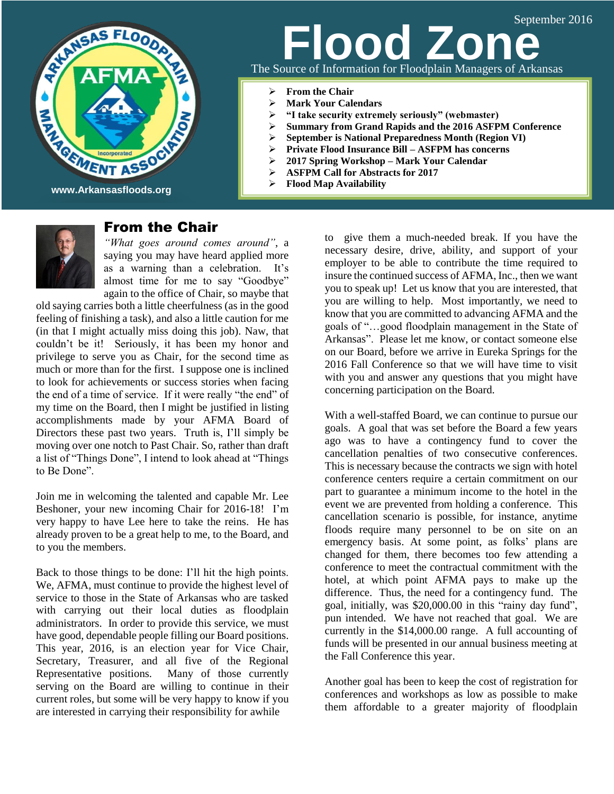

# The Source of Information for Floodplain Managers of Arkansas **Jood Zon**

- **From the Chair**
- **Mark Your Calendars**
- **"I take security extremely seriously" (webmaster)**
- **Summary from Grand Rapids and the 2016 ASFPM Conference**
- **►** September is National Preparedness Month (Region VI)<br>► Private Flood Insurance Bill ASFPM has concerns
- **Private Flood Insurance Bill – ASFPM has concerns**
- **2017 Spring Workshop – Mark Your Calendar**
- **ASFPM Call for Abstracts for 2017**
- **Flood Map Availability**



# From the Chair

*"What goes around comes around"*, a saying you may have heard applied more as a warning than a celebration. It's almost time for me to say "Goodbye" again to the office of Chair, so maybe that

old saying carries both a little cheerfulness (as in the good feeling of finishing a task), and also a little caution for me (in that I might actually miss doing this job). Naw, that couldn't be it! Seriously, it has been my honor and privilege to serve you as Chair, for the second time as much or more than for the first. I suppose one is inclined to look for achievements or success stories when facing the end of a time of service. If it were really "the end" of my time on the Board, then I might be justified in listing accomplishments made by your AFMA Board of Directors these past two years. Truth is, I'll simply be moving over one notch to Past Chair. So, rather than draft a list of "Things Done", I intend to look ahead at "Things to Be Done".

Join me in welcoming the talented and capable Mr. Lee Beshoner, your new incoming Chair for 2016-18! I'm very happy to have Lee here to take the reins. He has already proven to be a great help to me, to the Board, and to you the members.

Back to those things to be done: I'll hit the high points. We, AFMA, must continue to provide the highest level of service to those in the State of Arkansas who are tasked with carrying out their local duties as floodplain administrators. In order to provide this service, we must have good, dependable people filling our Board positions. This year, 2016, is an election year for Vice Chair, Secretary, Treasurer, and all five of the Regional Representative positions. Many of those currently serving on the Board are willing to continue in their current roles, but some will be very happy to know if you are interested in carrying their responsibility for awhile

to give them a much-needed break. If you have the necessary desire, drive, ability, and support of your employer to be able to contribute the time required to insure the continued success of AFMA, Inc., then we want you to speak up! Let us know that you are interested, that you are willing to help. Most importantly, we need to know that you are committed to advancing AFMA and the goals of "…good floodplain management in the State of Arkansas". Please let me know, or contact someone else on our Board, before we arrive in Eureka Springs for the 2016 Fall Conference so that we will have time to visit with you and answer any questions that you might have concerning participation on the Board.

With a well-staffed Board, we can continue to pursue our goals. A goal that was set before the Board a few years ago was to have a contingency fund to cover the cancellation penalties of two consecutive conferences. This is necessary because the contracts we sign with hotel conference centers require a certain commitment on our part to guarantee a minimum income to the hotel in the event we are prevented from holding a conference. This cancellation scenario is possible, for instance, anytime floods require many personnel to be on site on an emergency basis. At some point, as folks' plans are changed for them, there becomes too few attending a conference to meet the contractual commitment with the hotel, at which point AFMA pays to make up the difference. Thus, the need for a contingency fund. The goal, initially, was \$20,000.00 in this "rainy day fund", pun intended. We have not reached that goal. We are currently in the \$14,000.00 range. A full accounting of funds will be presented in our annual business meeting at the Fall Conference this year.

Another goal has been to keep the cost of registration for conferences and workshops as low as possible to make them affordable to a greater majority of floodplain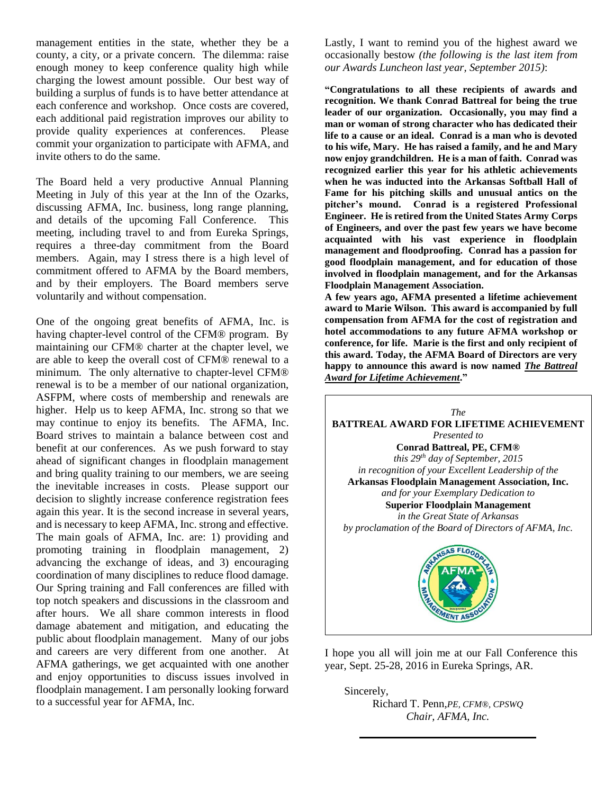management entities in the state, whether they be a county, a city, or a private concern. The dilemma: raise enough money to keep conference quality high while charging the lowest amount possible. Our best way of building a surplus of funds is to have better attendance at each conference and workshop. Once costs are covered, each additional paid registration improves our ability to provide quality experiences at conferences. Please commit your organization to participate with AFMA, and invite others to do the same.

The Board held a very productive Annual Planning Meeting in July of this year at the Inn of the Ozarks, discussing AFMA, Inc. business, long range planning, and details of the upcoming Fall Conference. This meeting, including travel to and from Eureka Springs, requires a three-day commitment from the Board members. Again, may I stress there is a high level of commitment offered to AFMA by the Board members, and by their employers. The Board members serve voluntarily and without compensation.

One of the ongoing great benefits of AFMA, Inc. is having chapter-level control of the CFM® program. By maintaining our CFM® charter at the chapter level, we are able to keep the overall cost of CFM® renewal to a minimum. The only alternative to chapter-level CFM® renewal is to be a member of our national organization, ASFPM, where costs of membership and renewals are higher. Help us to keep AFMA, Inc. strong so that we may continue to enjoy its benefits. The AFMA, Inc. Board strives to maintain a balance between cost and benefit at our conferences. As we push forward to stay ahead of significant changes in floodplain management and bring quality training to our members, we are seeing the inevitable increases in costs. Please support our decision to slightly increase conference registration fees again this year. It is the second increase in several years, and is necessary to keep AFMA, Inc. strong and effective. The main goals of AFMA, Inc. are: 1) providing and promoting training in floodplain management, 2) advancing the exchange of ideas, and 3) encouraging coordination of many disciplines to reduce flood damage. Our Spring training and Fall conferences are filled with top notch speakers and discussions in the classroom and after hours. We all share common interests in flood damage abatement and mitigation, and educating the public about floodplain management. Many of our jobs and careers are very different from one another. At AFMA gatherings, we get acquainted with one another and enjoy opportunities to discuss issues involved in floodplain management. I am personally looking forward to a successful year for AFMA, Inc.

Lastly, I want to remind you of the highest award we occasionally bestow *(the following is the last item from our Awards Luncheon last year, September 2015)*:

**"Congratulations to all these recipients of awards and recognition. We thank Conrad Battreal for being the true leader of our organization. Occasionally, you may find a man or woman of strong character who has dedicated their life to a cause or an ideal. Conrad is a man who is devoted to his wife, Mary. He has raised a family, and he and Mary now enjoy grandchildren. He is a man of faith. Conrad was recognized earlier this year for his athletic achievements when he was inducted into the Arkansas Softball Hall of Fame for his pitching skills and unusual antics on the pitcher's mound. Conrad is a registered Professional Engineer. He is retired from the United States Army Corps of Engineers, and over the past few years we have become acquainted with his vast experience in floodplain management and floodproofing. Conrad has a passion for good floodplain management, and for education of those involved in floodplain management, and for the Arkansas Floodplain Management Association.**

**A few years ago, AFMA presented a lifetime achievement award to Marie Wilson. This award is accompanied by full compensation from AFMA for the cost of registration and hotel accommodations to any future AFMA workshop or conference, for life. Marie is the first and only recipient of this award. Today, the AFMA Board of Directors are very happy to announce this award is now named** *The Battreal Award for Lifetime Achievement***."**



I hope you all will join me at our Fall Conference this year, Sept. 25-28, 2016 in Eureka Springs, AR.

Sincerely,

Richard T. Penn,*PE, CFM®, CPSWQ Chair, AFMA, Inc.*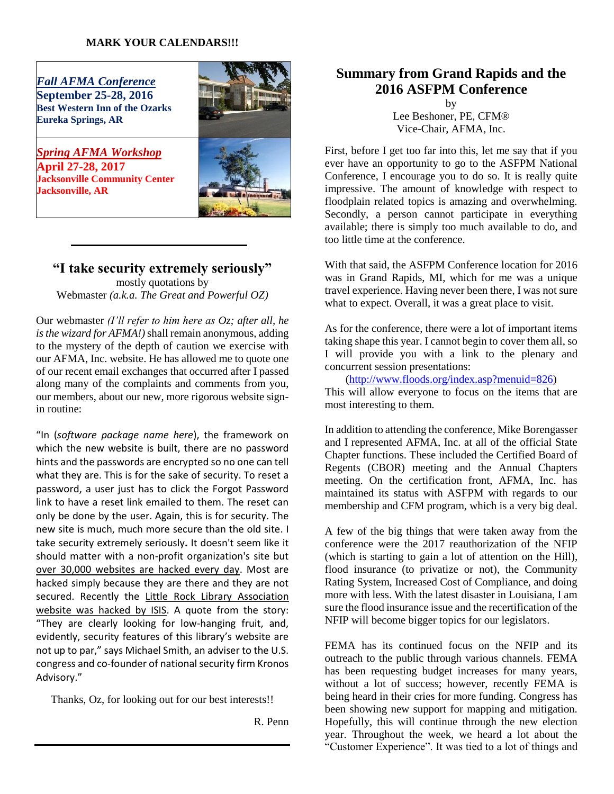#### **MARK YOUR CALENDARS!!!**

*Fall AFMA Conference*  **September 25-28, 2016 Best Western Inn of the Ozarks Eureka Springs, AR** 



*Spring AFMA Workshop* **April 27-28, 2017 Jacksonville Community Center Jacksonville, AR**

## **"I take security extremely seriously"** mostly quotations by Webmaster *(a.k.a. The Great and Powerful OZ)*

Our webmaster *(I'll refer to him here as Oz; after all, he is the wizard for AFMA!)* shall remain anonymous, adding to the mystery of the depth of caution we exercise with our AFMA, Inc. website. He has allowed me to quote one of our recent email exchanges that occurred after I passed along many of the complaints and comments from you, our members, about our new, more rigorous website signin routine:

"In (*software package name here*), the framework on which the new website is built, there are no password hints and the passwords are encrypted so no one can tell what they are. This is for the sake of security. To reset a password, a user just has to click the Forgot Password link to have a reset link emailed to them. The reset can only be done by the user. Again, this is for security. The new site is much, much more secure than the old site. I take security extremely seriously**.** It doesn't seem like it should matter with a non-profit organization's site but [over 30,000 websites are hacked every day.](http://www.forbes.com/sites/jameslyne/2013/09/06/30000-web-sites-hacked-a-day-how-do-you-host-yours/) Most are hacked simply because they are there and they are not secured. Recently the [Little Rock Library Association](http://www.newsweek.com/isis-hit-list-arkansas-targets-authorities-unmoved-466238)  [website was hacked by ISIS.](http://www.newsweek.com/isis-hit-list-arkansas-targets-authorities-unmoved-466238) A quote from the story: "They are clearly looking for low-hanging fruit, and, evidently, security features of this library's website are not up to par," says Michael Smith, an adviser to the U.S. congress and co-founder of national security firm Kronos Advisory."

Thanks, Oz, for looking out for our best interests!!

R. Penn

# **Summary from Grand Rapids and the 2016 ASFPM Conference**

by Lee Beshoner, PE, CFM® Vice-Chair, AFMA, Inc.

First, before I get too far into this, let me say that if you ever have an opportunity to go to the ASFPM National Conference, I encourage you to do so. It is really quite impressive. The amount of knowledge with respect to floodplain related topics is amazing and overwhelming. Secondly, a person cannot participate in everything available; there is simply too much available to do, and too little time at the conference.

With that said, the ASFPM Conference location for 2016 was in Grand Rapids, MI, which for me was a unique travel experience. Having never been there, I was not sure what to expect. Overall, it was a great place to visit.

As for the conference, there were a lot of important items taking shape this year. I cannot begin to cover them all, so I will provide you with a link to the plenary and concurrent session presentations:

[\(http://www.floods.org/index.asp?menuid=826\)](http://www.floods.org/index.asp?menuid=826)

This will allow everyone to focus on the items that are most interesting to them.

In addition to attending the conference, Mike Borengasser and I represented AFMA, Inc. at all of the official State Chapter functions. These included the Certified Board of Regents (CBOR) meeting and the Annual Chapters meeting. On the certification front, AFMA, Inc. has maintained its status with ASFPM with regards to our membership and CFM program, which is a very big deal.

A few of the big things that were taken away from the conference were the 2017 reauthorization of the NFIP (which is starting to gain a lot of attention on the Hill), flood insurance (to privatize or not), the Community Rating System, Increased Cost of Compliance, and doing more with less. With the latest disaster in Louisiana, I am sure the flood insurance issue and the recertification of the NFIP will become bigger topics for our legislators.

FEMA has its continued focus on the NFIP and its outreach to the public through various channels. FEMA has been requesting budget increases for many years, without a lot of success; however, recently FEMA is being heard in their cries for more funding. Congress has been showing new support for mapping and mitigation. Hopefully, this will continue through the new election year. Throughout the week, we heard a lot about the "Customer Experience". It was tied to a lot of things and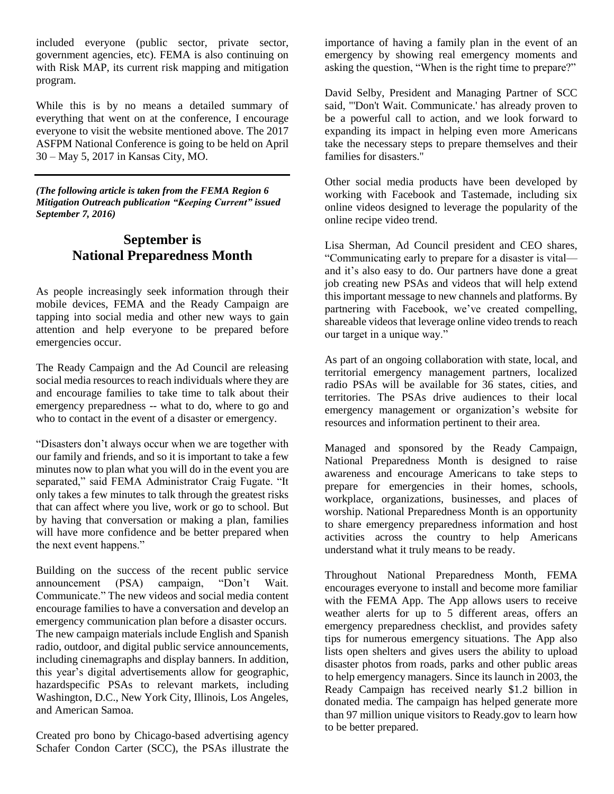included everyone (public sector, private sector, government agencies, etc). FEMA is also continuing on with Risk MAP, its current risk mapping and mitigation program.

While this is by no means a detailed summary of everything that went on at the conference, I encourage everyone to visit the website mentioned above. The 2017 ASFPM National Conference is going to be held on April 30 – May 5, 2017 in Kansas City, MO.

*(The following article is taken from the FEMA Region 6 Mitigation Outreach publication "Keeping Current" issued September 7, 2016)*

# **September is National Preparedness Month**

As people increasingly seek information through their mobile devices, FEMA and the Ready Campaign are tapping into social media and other new ways to gain attention and help everyone to be prepared before emergencies occur.

The Ready Campaign and the Ad Council are releasing social media resources to reach individuals where they are and encourage families to take time to talk about their emergency preparedness -- what to do, where to go and who to contact in the event of a disaster or emergency.

"Disasters don't always occur when we are together with our family and friends, and so it is important to take a few minutes now to plan what you will do in the event you are separated," said FEMA Administrator Craig Fugate. "It only takes a few minutes to talk through the greatest risks that can affect where you live, work or go to school. But by having that conversation or making a plan, families will have more confidence and be better prepared when the next event happens."

Building on the success of the recent public service announcement (PSA) campaign, "Don't Wait. Communicate." The new videos and social media content encourage families to have a conversation and develop an emergency communication plan before a disaster occurs. The new campaign materials include English and Spanish radio, outdoor, and digital public service announcements, including cinemagraphs and display banners. In addition, this year's digital advertisements allow for geographic, hazardspecific PSAs to relevant markets, including Washington, D.C., New York City, Illinois, Los Angeles, and American Samoa.

Created pro bono by Chicago-based advertising agency Schafer Condon Carter (SCC), the PSAs illustrate the importance of having a family plan in the event of an emergency by showing real emergency moments and asking the question, "When is the right time to prepare?"

David Selby, President and Managing Partner of SCC said, "'Don't Wait. Communicate.' has already proven to be a powerful call to action, and we look forward to expanding its impact in helping even more Americans take the necessary steps to prepare themselves and their families for disasters."

Other social media products have been developed by working with Facebook and Tastemade, including six online videos designed to leverage the popularity of the online recipe video trend.

Lisa Sherman, Ad Council president and CEO shares, "Communicating early to prepare for a disaster is vital and it's also easy to do. Our partners have done a great job creating new PSAs and videos that will help extend this important message to new channels and platforms. By partnering with Facebook, we've created compelling, shareable videos that leverage online video trends to reach our target in a unique way."

As part of an ongoing collaboration with state, local, and territorial emergency management partners, localized radio PSAs will be available for 36 states, cities, and territories. The PSAs drive audiences to their local emergency management or organization's website for resources and information pertinent to their area.

Managed and sponsored by the Ready Campaign, National Preparedness Month is designed to raise awareness and encourage Americans to take steps to prepare for emergencies in their homes, schools, workplace, organizations, businesses, and places of worship. National Preparedness Month is an opportunity to share emergency preparedness information and host activities across the country to help Americans understand what it truly means to be ready.

Throughout National Preparedness Month, FEMA encourages everyone to install and become more familiar with the FEMA App. The App allows users to receive weather alerts for up to 5 different areas, offers an emergency preparedness checklist, and provides safety tips for numerous emergency situations. The App also lists open shelters and gives users the ability to upload disaster photos from roads, parks and other public areas to help emergency managers. Since its launch in 2003, the Ready Campaign has received nearly \$1.2 billion in donated media. The campaign has helped generate more than 97 million unique visitors to Ready.gov to learn how to be better prepared.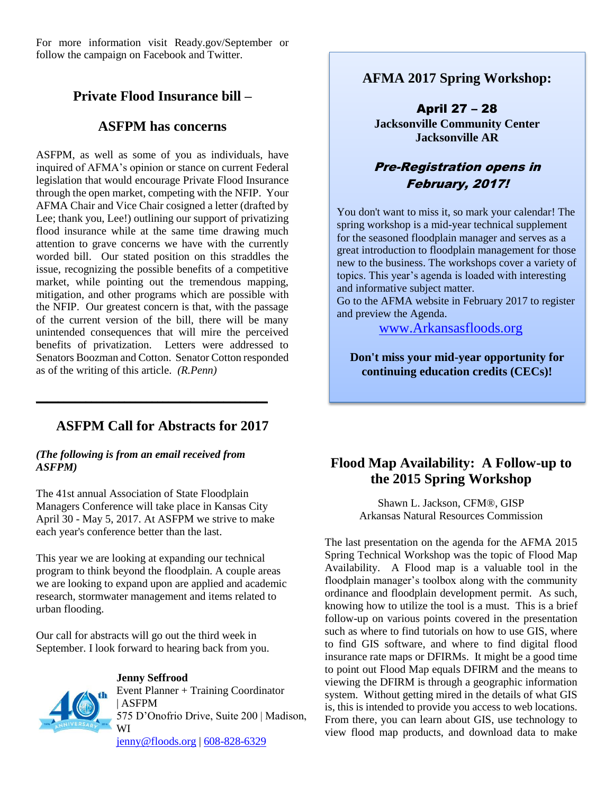For more information visit Ready.gov/September or follow the campaign on Facebook and Twitter.

# **Private Flood Insurance bill –**

## **ASFPM has concerns**

ASFPM, as well as some of you as individuals, have inquired of AFMA's opinion or stance on current Federal legislation that would encourage Private Flood Insurance through the open market, competing with the NFIP. Your AFMA Chair and Vice Chair cosigned a letter (drafted by Lee; thank you, Lee!) outlining our support of privatizing flood insurance while at the same time drawing much attention to grave concerns we have with the currently worded bill. Our stated position on this straddles the issue, recognizing the possible benefits of a competitive market, while pointing out the tremendous mapping, mitigation, and other programs which are possible with the NFIP. Our greatest concern is that, with the passage of the current version of the bill, there will be many unintended consequences that will mire the perceived benefits of privatization. Letters were addressed to Senators Boozman and Cotton. Senator Cotton responded as of the writing of this article. *(R.Penn)*

# **ASFPM Call for Abstracts for 2017**

**\_\_\_\_\_\_\_\_\_\_\_\_\_\_\_\_\_\_\_\_\_\_\_\_\_\_\_\_\_\_\_\_\_\_\_\_\_\_\_\_\_\_**

#### *(The following is from an email received from ASFPM)*

The 41st annual Association of State Floodplain Managers Conference will take place in Kansas City April 30 - May 5, 2017. At ASFPM we strive to make each year's conference better than the last.

This year we are looking at expanding our technical program to think beyond the floodplain. A couple areas we are looking to expand upon are applied and academic research, stormwater management and items related to urban flooding.

Our call for abstracts will go out the third week in September. I look forward to hearing back from you.



#### **Jenny Seffrood**

Event Planner + Training Coordinator | ASFPM 575 D'Onofrio Drive, Suite 200 | Madison, WI [jenny@floods.org](mailto:jenny@floods.org) | [608-828-6329](tel:608-828-6329)

**AFMA 2017 Spring Workshop:**

April 27 – 28 **Jacksonville Community Center Jacksonville AR**

# Pre-Registration opens in February, 2017!

You don't want to miss it, so mark your calendar! The spring workshop is a mid-year technical supplement for the seasoned floodplain manager and serves as a great introduction to floodplain management for those new to the business. The workshops cover a variety of topics. This year's agenda is loaded with interesting and informative subject matter.

Go to the AFMA website in February 2017 to register and preview the Agenda.

[www.Arkansasfloods.org](http://www.arkansasfloods.org/)

**Don't miss your mid-year opportunity for continuing education credits (CECs)!**

# **Flood Map Availability: A Follow-up to the 2015 Spring Workshop**

Shawn L. Jackson, CFM®, GISP Arkansas Natural Resources Commission

The last presentation on the agenda for the AFMA 2015 Spring Technical Workshop was the topic of Flood Map Availability. A Flood map is a valuable tool in the floodplain manager's toolbox along with the community ordinance and floodplain development permit. As such, knowing how to utilize the tool is a must. This is a brief follow-up on various points covered in the presentation such as where to find tutorials on how to use GIS, where to find GIS software, and where to find digital flood insurance rate maps or DFIRMs. It might be a good time to point out Flood Map equals DFIRM and the means to viewing the DFIRM is through a geographic information system. Without getting mired in the details of what GIS is, this is intended to provide you access to web locations. From there, you can learn about GIS, use technology to view flood map products, and download data to make